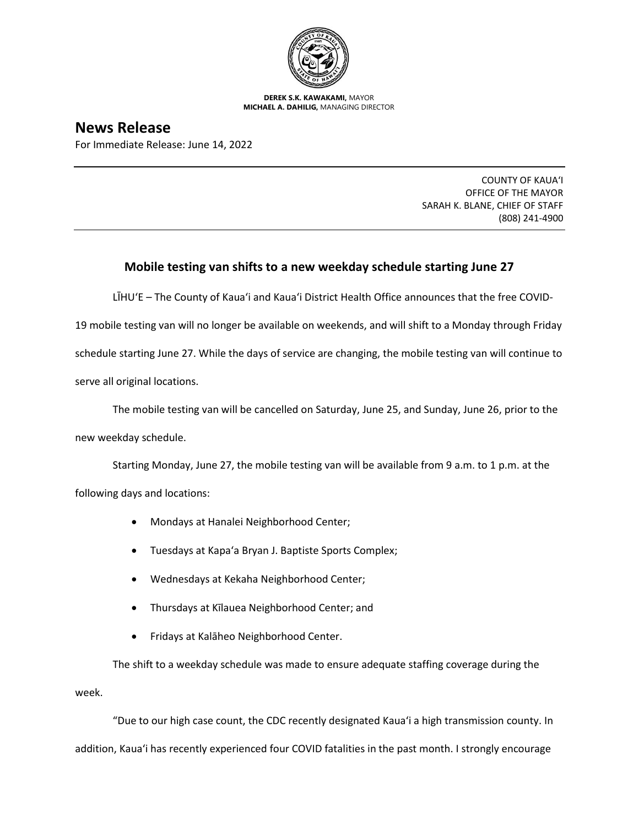

**DEREK S.K. KAWAKAMI,** MAYOR **MICHAEL A. DAHILIG,** MANAGING DIRECTOR

## **News Release**

For Immediate Release: June 14, 2022

COUNTY OF KAUA'I OFFICE OF THE MAYOR SARAH K. BLANE, CHIEF OF STAFF (808) 241-4900

## **Mobile testing van shifts to a new weekday schedule starting June 27**

LĪHUʻE – The County of Kaua'i and Kaua'i District Health Office announces that the free COVID-

19 mobile testing van will no longer be available on weekends, and will shift to a Monday through Friday schedule starting June 27. While the days of service are changing, the mobile testing van will continue to serve all original locations.

The mobile testing van will be cancelled on Saturday, June 25, and Sunday, June 26, prior to the new weekday schedule.

Starting Monday, June 27, the mobile testing van will be available from 9 a.m. to 1 p.m. at the

following days and locations:

- Mondays at Hanalei Neighborhood Center;
- Tuesdays at Kapa'a Bryan J. Baptiste Sports Complex;
- Wednesdays at Kekaha Neighborhood Center;
- Thursdays at Kīlauea Neighborhood Center; and
- Fridays at Kalāheo Neighborhood Center.

The shift to a weekday schedule was made to ensure adequate staffing coverage during the week.

"Due to our high case count, the CDC recently designated Kaua'i a high transmission county. In addition, Kaua'i has recently experienced four COVID fatalities in the past month. I strongly encourage